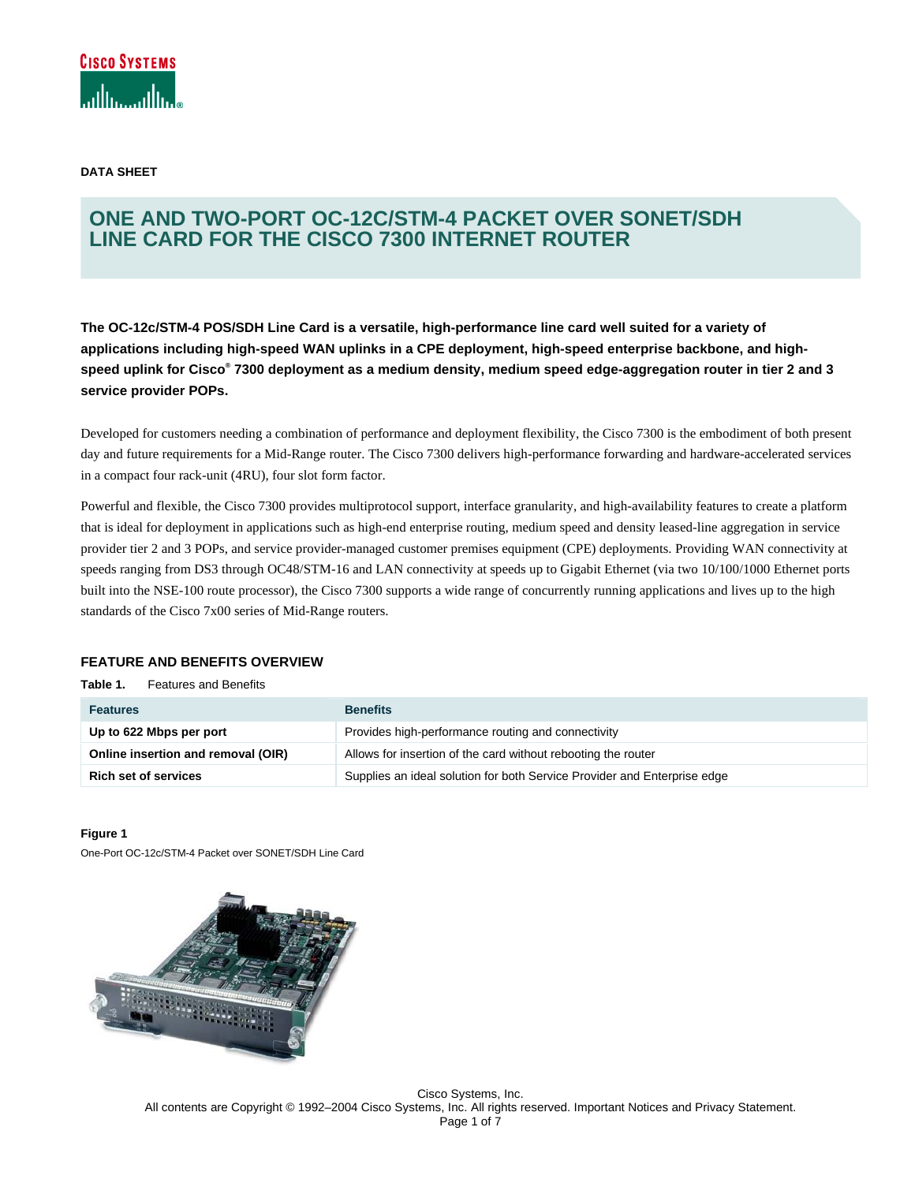

**DATA SHEET** 

# **ONE AND TWO-PORT OC-12C/STM-4 PACKET OVER SONET/SDH LINE CARD FOR THE CISCO 7300 INTERNET ROUTER**

**The OC-12c/STM-4 POS/SDH Line Card is a versatile, high-performance line card well suited for a variety of applications including high-speed WAN uplinks in a CPE deployment, high-speed enterprise backbone, and highspeed uplink for Cisco® 7300 deployment as a medium density, medium speed edge-aggregation router in tier 2 and 3 service provider POPs.** 

Developed for customers needing a combination of performance and deployment flexibility, the Cisco 7300 is the embodiment of both present day and future requirements for a Mid-Range router. The Cisco 7300 delivers high-performance forwarding and hardware-accelerated services in a compact four rack-unit (4RU), four slot form factor.

Powerful and flexible, the Cisco 7300 provides multiprotocol support, interface granularity, and high-availability features to create a platform that is ideal for deployment in applications such as high-end enterprise routing, medium speed and density leased-line aggregation in service provider tier 2 and 3 POPs, and service provider-managed customer premises equipment (CPE) deployments. Providing WAN connectivity at speeds ranging from DS3 through OC48/STM-16 and LAN connectivity at speeds up to Gigabit Ethernet (via two 10/100/1000 Ethernet ports built into the NSE-100 route processor), the Cisco 7300 supports a wide range of concurrently running applications and lives up to the high standards of the Cisco 7x00 series of Mid-Range routers.

# **FEATURE AND BENEFITS OVERVIEW**

**Table 1.** Features and Benefits

| <b>Features</b>                    | <b>Benefits</b>                                                          |
|------------------------------------|--------------------------------------------------------------------------|
| Up to 622 Mbps per port            | Provides high-performance routing and connectivity                       |
| Online insertion and removal (OIR) | Allows for insertion of the card without rebooting the router            |
| <b>Rich set of services</b>        | Supplies an ideal solution for both Service Provider and Enterprise edge |

#### **Figure 1**

One-Port OC-12c/STM-4 Packet over SONET/SDH Line Card



Cisco Systems, Inc. All contents are Copyright © 1992–2004 Cisco Systems, Inc. All rights reserved. Important Notices and Privacy Statement. Page 1 of 7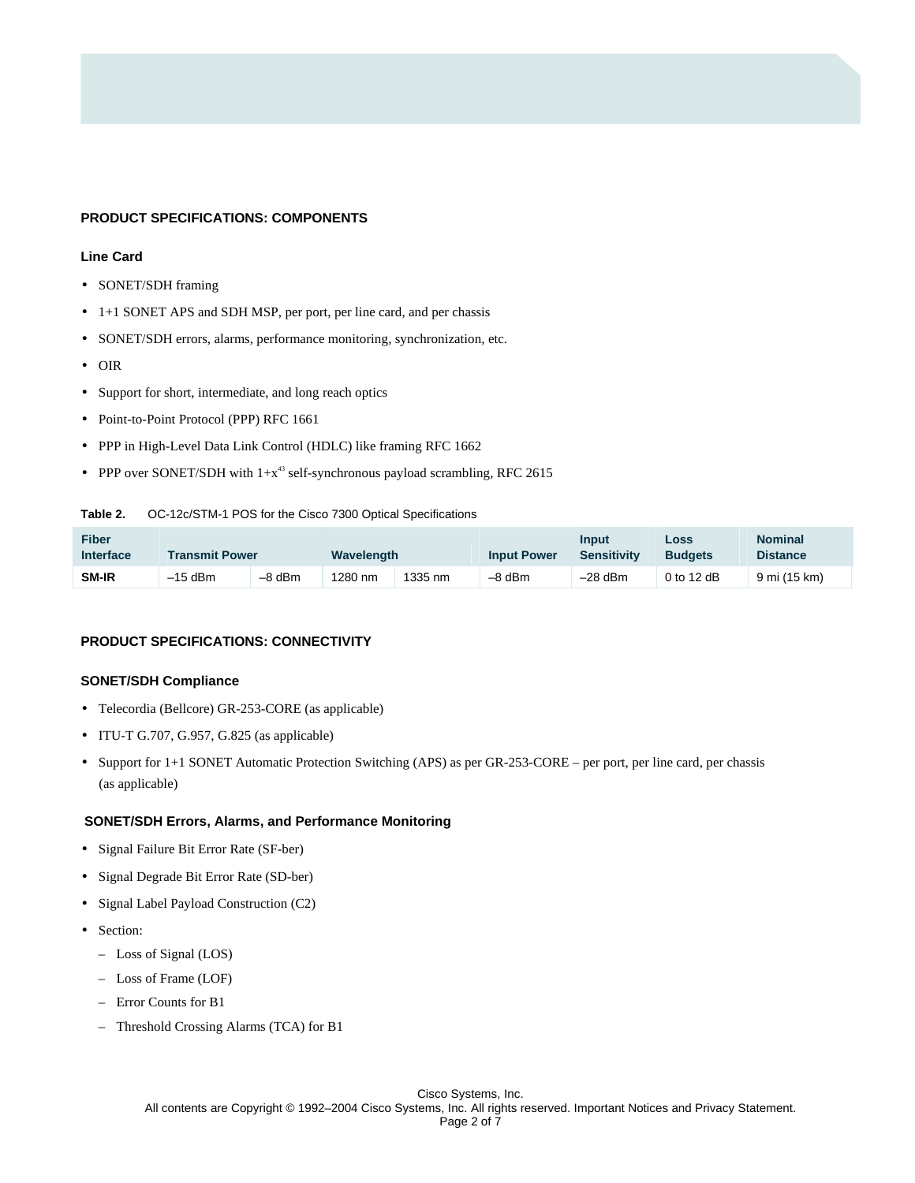#### **PRODUCT SPECIFICATIONS: COMPONENTS**

#### **Line Card**

- SONET/SDH framing
- 1+1 SONET APS and SDH MSP, per port, per line card, and per chassis
- SONET/SDH errors, alarms, performance monitoring, synchronization, etc.
- OIR
- Support for short, intermediate, and long reach optics
- Point-to-Point Protocol (PPP) RFC 1661
- PPP in High-Level Data Link Control (HDLC) like framing RFC 1662
- PPP over SONET/SDH with  $1+x^{43}$  self-synchronous payload scrambling, RFC 2615

#### **Table 2.** OC-12c/STM-1 POS for the Cisco 7300 Optical Specifications

| Fiber<br><b>Interface</b> | <b>Transmit Power</b> |        | Wavelength |         | <b>Input Power</b> | <b>Input</b><br><b>Sensitivity</b> | Loss<br><b>Budgets</b> | <b>Nominal</b><br><b>Distance</b> |
|---------------------------|-----------------------|--------|------------|---------|--------------------|------------------------------------|------------------------|-----------------------------------|
| <b>SM-IR</b>              | $-15$ dBm             | -8 dBm | 1280 nm    | 1335 nm | -8 dBm             | $-28$ dBm                          | 0 to 12 $dB$           | 9 mi (15 km)                      |

# **PRODUCT SPECIFICATIONS: CONNECTIVITY**

#### **SONET/SDH Compliance**

- Telecordia (Bellcore) GR-253-CORE (as applicable)
- ITU-T G.707, G.957, G.825 (as applicable)
- Support for 1+1 SONET Automatic Protection Switching (APS) as per GR-253-CORE per port, per line card, per chassis (as applicable)

## **SONET/SDH Errors, Alarms, and Performance Monitoring**

- Signal Failure Bit Error Rate (SF-ber)
- Signal Degrade Bit Error Rate (SD-ber)
- Signal Label Payload Construction (C2)
- Section:
	- Loss of Signal (LOS)
	- Loss of Frame (LOF)
	- Error Counts for B1
	- Threshold Crossing Alarms (TCA) for B1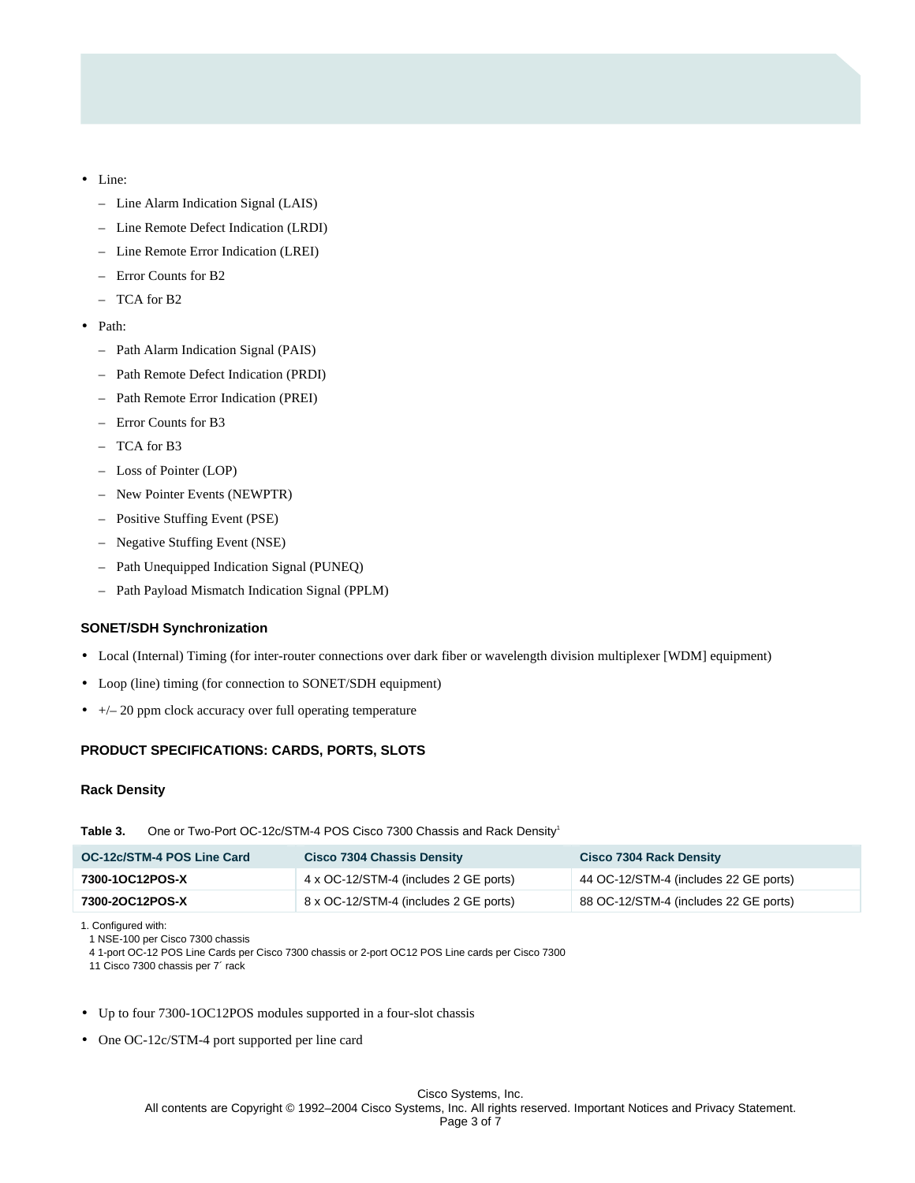- Line:
	- Line Alarm Indication Signal (LAIS)
	- Line Remote Defect Indication (LRDI)
	- Line Remote Error Indication (LREI)
	- Error Counts for B2
	- $-$  TCA for B<sub>2</sub>
- Path:
	- Path Alarm Indication Signal (PAIS)
	- Path Remote Defect Indication (PRDI)
	- Path Remote Error Indication (PREI)
	- Error Counts for B3
	- TCA for B3
	- Loss of Pointer (LOP)
	- New Pointer Events (NEWPTR)
	- Positive Stuffing Event (PSE)
	- Negative Stuffing Event (NSE)
	- Path Unequipped Indication Signal (PUNEQ)
	- Path Payload Mismatch Indication Signal (PPLM)

#### **SONET/SDH Synchronization**

- Local (Internal) Timing (for inter-router connections over dark fiber or wavelength division multiplexer [WDM] equipment)
- Loop (line) timing (for connection to SONET/SDH equipment)
- $\bullet$  +/- 20 ppm clock accuracy over full operating temperature

# **PRODUCT SPECIFICATIONS: CARDS, PORTS, SLOTS**

## **Rack Density**

Table 3. One or Two-Port OC-12c/STM-4 POS Cisco 7300 Chassis and Rack Density<sup>1</sup>

| OC-12c/STM-4 POS Line Card | <b>Cisco 7304 Chassis Density</b>     | <b>Cisco 7304 Rack Density</b>        |
|----------------------------|---------------------------------------|---------------------------------------|
| 7300-1OC12POS-X            | 4 x OC-12/STM-4 (includes 2 GE ports) | 44 OC-12/STM-4 (includes 22 GE ports) |
| 7300-2OC12POS-X            | 8 x OC-12/STM-4 (includes 2 GE ports) | 88 OC-12/STM-4 (includes 22 GE ports) |

1. Configured with:

1 NSE-100 per Cisco 7300 chassis

4 1-port OC-12 POS Line Cards per Cisco 7300 chassis or 2-port OC12 POS Line cards per Cisco 7300

11 Cisco 7300 chassis per 7´ rack

- Up to four 7300-1OC12POS modules supported in a four-slot chassis
- One OC-12c/STM-4 port supported per line card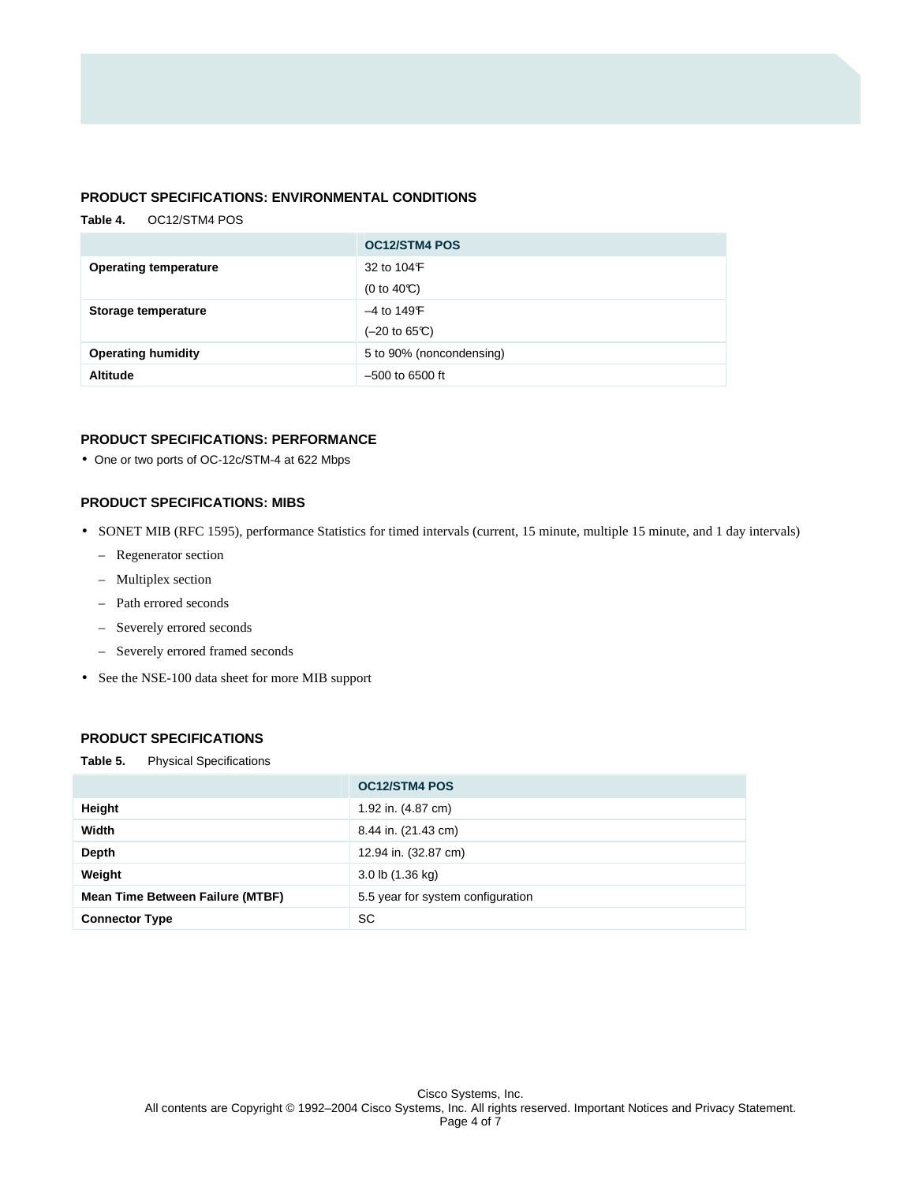## **PRODUCT SPECIFICATIONS: ENVIRONMENTAL CONDITIONS**

# **Table 4.** OC12/STM4 POS  **OC12/STM4 POS Operating temperature 132 to 104°F** (0 to 40 $C$ ) **Storage temperature**  $-4$  to 149<sup>°</sup>F  $(-20 \text{ to } 65 \text{C})$ **Operating humidity** 5 to 90% (noncondensing) **Altitude** –500 to 6500 ft

## **PRODUCT SPECIFICATIONS: PERFORMANCE**

• One or two ports of OC-12c/STM-4 at 622 Mbps

## **PRODUCT SPECIFICATIONS: MIBS**

- SONET MIB (RFC 1595), performance Statistics for timed intervals (current, 15 minute, multiple 15 minute, and 1 day intervals)
	- Regenerator section
	- Multiplex section
	- Path errored seconds
	- Severely errored seconds
	- Severely errored framed seconds
- See the NSE-100 data sheet for more MIB support

# **PRODUCT SPECIFICATIONS**

**Table 5.** Physical Specifications

|                                         | <b>OC12/STM4 POS</b>              |
|-----------------------------------------|-----------------------------------|
| Height                                  | 1.92 in. (4.87 cm)                |
| Width                                   | 8.44 in. (21.43 cm)               |
| Depth                                   | 12.94 in. (32.87 cm)              |
| Weight                                  | 3.0 lb (1.36 kg)                  |
| <b>Mean Time Between Failure (MTBF)</b> | 5.5 year for system configuration |
| <b>Connector Type</b>                   | SC                                |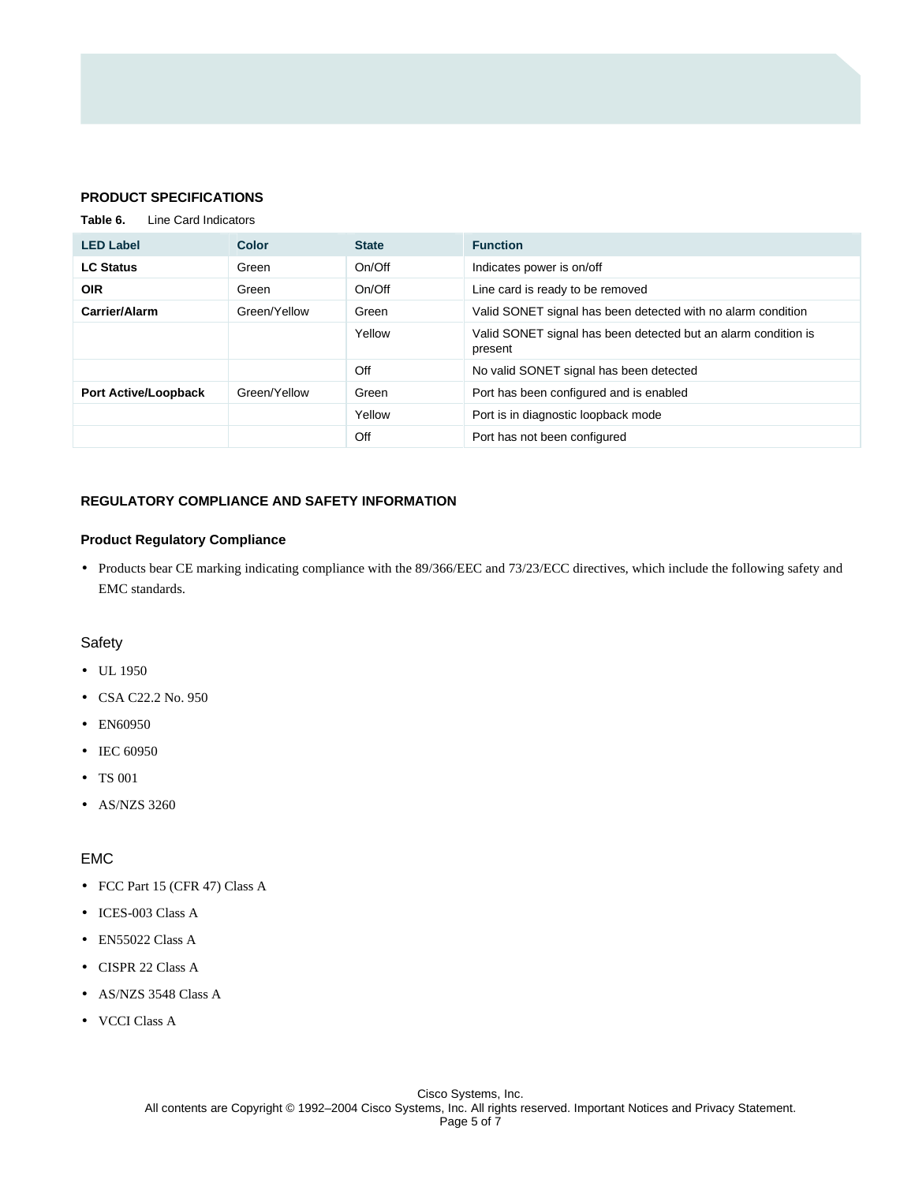## **PRODUCT SPECIFICATIONS**

**Table 6.** Line Card Indicators

| <b>LED Label</b>            | <b>Color</b> | <b>State</b> | <b>Function</b>                                                           |
|-----------------------------|--------------|--------------|---------------------------------------------------------------------------|
| <b>LC Status</b>            | Green        | On/Off       | Indicates power is on/off                                                 |
| <b>OIR</b>                  | Green        | On/Off       | Line card is ready to be removed                                          |
| Carrier/Alarm               | Green/Yellow | Green        | Valid SONET signal has been detected with no alarm condition              |
|                             |              | Yellow       | Valid SONET signal has been detected but an alarm condition is<br>present |
|                             |              | Off          | No valid SONET signal has been detected                                   |
| <b>Port Active/Loopback</b> | Green/Yellow | Green        | Port has been configured and is enabled                                   |
|                             |              | Yellow       | Port is in diagnostic loopback mode                                       |
|                             |              | Off          | Port has not been configured                                              |

## **REGULATORY COMPLIANCE AND SAFETY INFORMATION**

#### **Product Regulatory Compliance**

• Products bear CE marking indicating compliance with the 89/366/EEC and 73/23/ECC directives, which include the following safety and EMC standards.

## **Safety**

- UL 1950
- CSA C22.2 No. 950
- EN60950
- IEC 60950
- TS 001
- AS/NZS 3260

# EMC

- FCC Part 15 (CFR 47) Class A
- ICES-003 Class A
- EN55022 Class A
- CISPR 22 Class A
- AS/NZS 3548 Class A
- VCCI Class A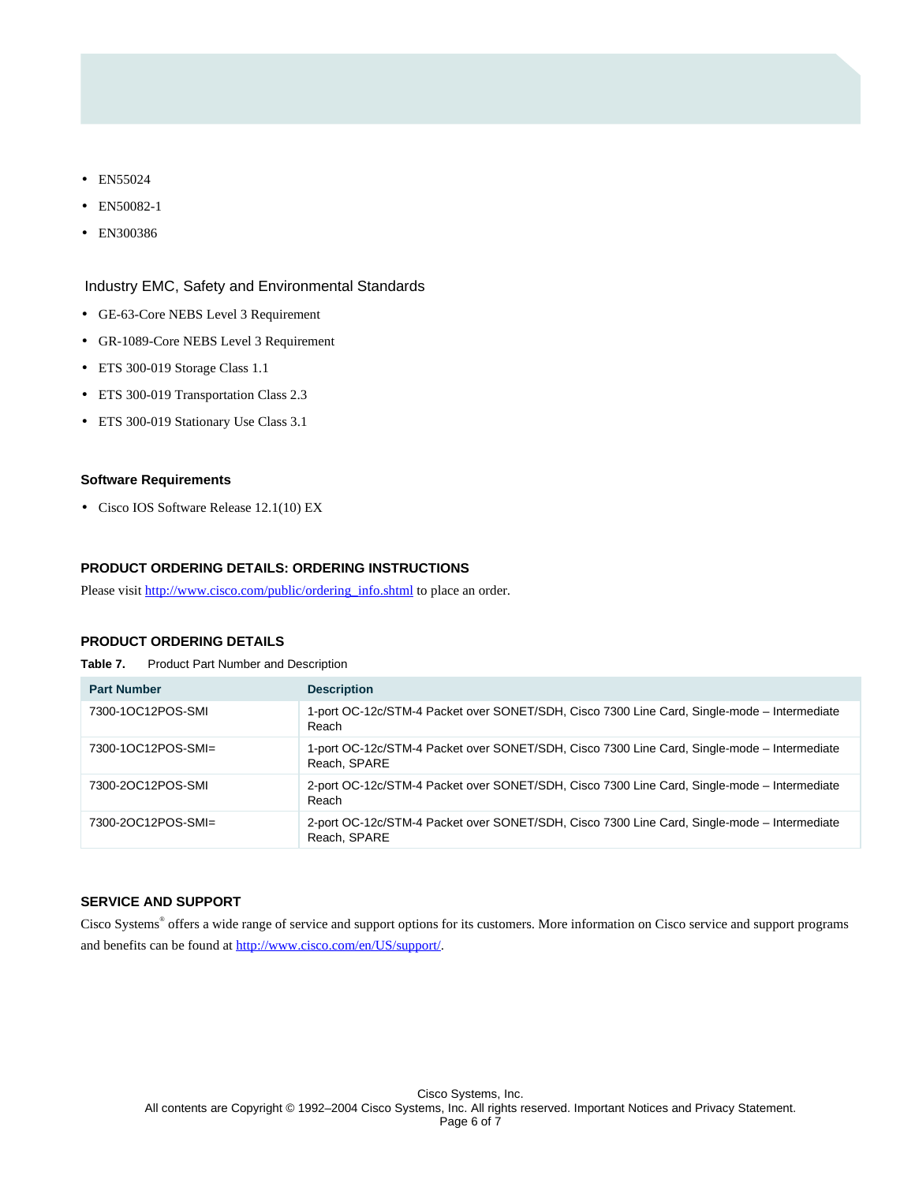- EN55024
- EN50082-1
- EN300386

## Industry EMC, Safety and Environmental Standards

- GE-63-Core NEBS Level 3 Requirement
- GR-1089-Core NEBS Level 3 Requirement
- ETS 300-019 Storage Class 1.1
- ETS 300-019 Transportation Class 2.3
- ETS 300-019 Stationary Use Class 3.1

#### **Software Requirements**

• Cisco IOS Software Release 12.1(10) EX

#### **PRODUCT ORDERING DETAILS: ORDERING INSTRUCTIONS**

Please visit [http://www.cisco.com/public/ordering\\_info.shtml](http://www.cisco.com/public/ordering_info.shtml) to place an order.

# **PRODUCT ORDERING DETAILS**

**Table 7.** Product Part Number and Description

| <b>Part Number</b> | <b>Description</b>                                                                                          |
|--------------------|-------------------------------------------------------------------------------------------------------------|
| 7300-1OC12POS-SMI  | 1-port OC-12c/STM-4 Packet over SONET/SDH, Cisco 7300 Line Card, Single-mode – Intermediate<br>Reach        |
| 7300-1OC12POS-SMI= | 1-port OC-12c/STM-4 Packet over SONET/SDH, Cisco 7300 Line Card, Single-mode – Intermediate<br>Reach, SPARE |
| 7300-2OC12POS-SMI  | 2-port OC-12c/STM-4 Packet over SONET/SDH, Cisco 7300 Line Card, Single-mode – Intermediate<br>Reach        |
| 7300-2OC12POS-SMI= | 2-port OC-12c/STM-4 Packet over SONET/SDH, Cisco 7300 Line Card, Single-mode - Intermediate<br>Reach, SPARE |

### **SERVICE AND SUPPORT**

Cisco Systems® offers a wide range of service and support options for its customers. More information on Cisco service and support programs and benefits can be found at<http://www.cisco.com/en/US/support/>.